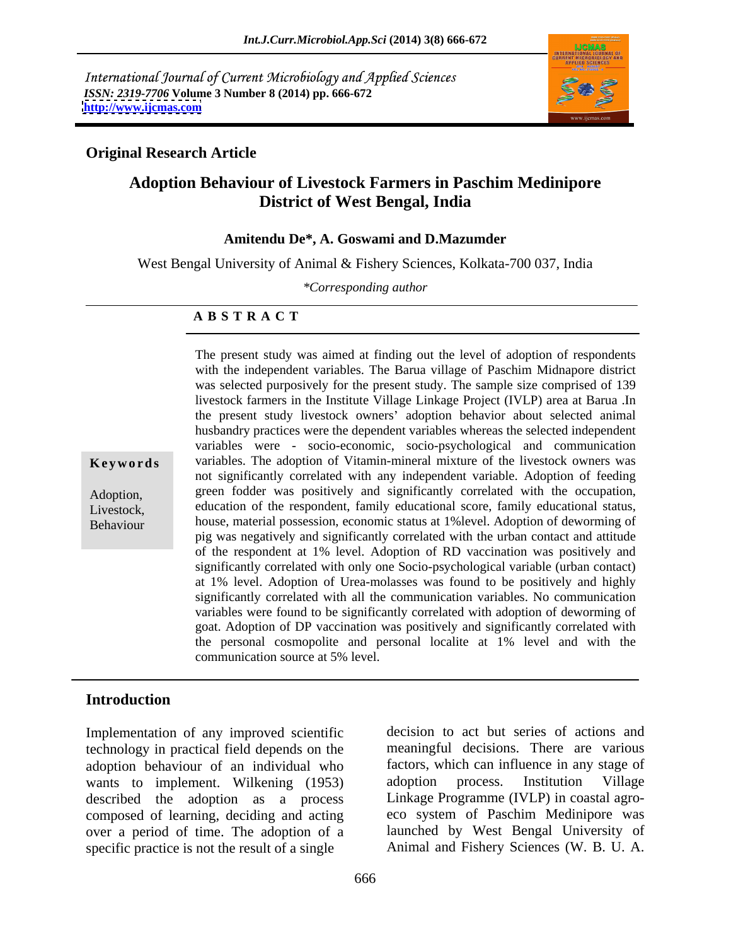International Journal of Current Microbiology and Applied Sciences *ISSN: 2319-7706* **Volume 3 Number 8 (2014) pp. 666-672 <http://www.ijcmas.com>**



## **Original Research Article**

# **Adoption Behaviour of Livestock Farmers in Paschim Medinipore District of West Bengal, India**

### **Amitendu De\*, A. Goswami and D.Mazumder**

West Bengal University of Animal & Fishery Sciences, Kolkata-700 037, India

*\*Corresponding author* 

### **A B S T R A C T**

**Keywords** variables. The adoption of Vitamin-mineral mixture of the livestock owners was Adoption, green fodder was positively and significantly correlated with the occupation, Livestock, education of the respondent, family educational score, family educational status, Behaviour house, material possession, economic status at 1%level. Adoption of deworming of with the independent variables. The Barua village of Paschim Midnapore district was selected purposively for the present study. The sample size comprised of 139 livestock farmers in the Institute Village Linkage Project (IVLP) area at Barua .In the present study livestock owners' adoption behavior about selected animal husbandry practices were the dependent variables whereas the selected independent variables were - socio-economic, socio-psychological and communication not significantly correlated with any independent variable. Adoption of feeding pig was negatively and significantly correlated with the urban contact and attitude of the respondent at 1% level. Adoption of RD vaccination was positively and significantly correlated with only one Socio-psychological variable (urban contact) at 1% level. Adoption of Urea-molasses was found to be positively and highly significantly correlated with all the communication variables. No communication variables were found to be significantly correlated with adoption of deworming of goat. Adoption of DP vaccination was positively and significantly correlated with the personal cosmopolite and personal localite at 1% level and with the communication source at 5% level.

The present study was aimed at finding out the level of adoption of respondents

## **Introduction**

Implementation of any improved scientific technology in practical field depends on the adoption behaviour of an individual who wants to implement. Wilkening (1953) adoption process. Institution Village described the adoption as a process composed of learning, deciding and acting over a period of time. The adoption of a specific practice is not the result of a single Animal and Fishery Sciences (W. B. U. A.

decision to act but series of actions and meaningful decisions. There are various factors, which can influence in any stage of adoption process. Institution Village Linkage Programme (IVLP) in coastal agro eco system of Paschim Medinipore was launched by West Bengal University of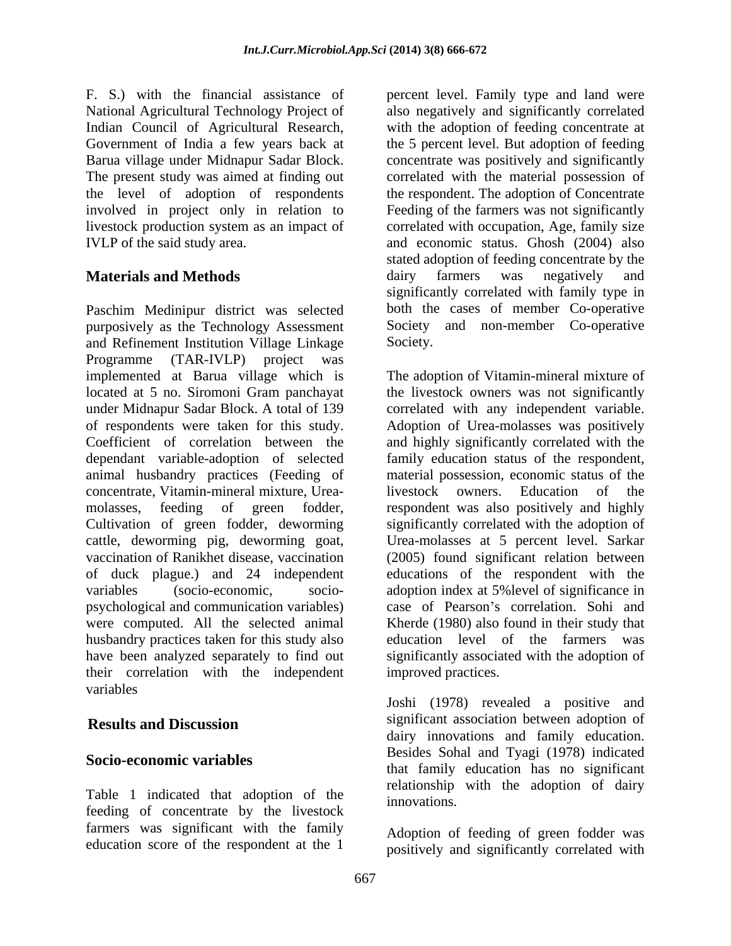National Agricultural Technology Project of Indian Council of Agricultural Research,

Paschim Medinipur district was selected purposively as the Technology Assessment Society<br>and Refinement Institution Village Linkage Society. and Refinement Institution Village Linkage Programme (TAR-IVLP) project was concentrate, Vitamin-mineral mixture, Urea vaccination of Ranikhet disease, vaccination psychological and communication variables) husbandry practices taken for this study also their correlation with the independent variables **variables** 

Table 1 indicated that adoption of the innovations. feeding of concentrate by the livestock farmers was significant with the family education score of the respondent at the 1

F. S.) with the financial assistance of percent level. Family type and land were Government of India a few years back at the 5 percent level. But adoption of feeding Barua village under Midnapur Sadar Block. concentrate was positively and significantly The present study was aimed at finding out correlated with the material possession of the level of adoption of respondents the respondent. The adoption of Concentrate involved in project only in relation to Feeding of the farmers was not significantly livestock production system as an impact of correlated with occupation, Age, family size IVLP of the said study area. and economic status. Ghosh (2004) also **Materials and Methods Example 20** dairy farmers was negatively and also negatively and significantly correlated with the adoption of feeding concentrate at stated adoption of feeding concentrate by the dairy farmers was negatively and significantly correlated with family type in both the cases of member Co-operative Society and non-member Co-operative Society.

implemented at Barua village which is The adoption of Vitamin-mineral mixture of located at 5 no. Siromoni Gram panchayat the livestock owners was not significantly under Midnapur Sadar Block. A total of 139 correlated with any independent variable. of respondents were taken for this study. Adoption of Urea-molasses was positively Coefficient of correlation between the and highly significantly correlated with the dependant variable-adoption of selected family education status of the respondent, animal husbandry practices (Feeding of material possession, economic status of the molasses, feeding of green fodder, respondent was also positively and highly Cultivation of green fodder, deworming significantly correlated with the adoption of cattle, deworming pig, deworming goat, Urea-molasses at 5 percent level. Sarkar of duck plague.) and 24 independent educations of the respondent with the variables (socio-economic, socio- adoption index at 5%level of significance in were computed. All the selected animal Kherde (1980) also found in their study that have been analyzed separately to find out significantly associated with the adoption of livestock owners. Education of (2005) found significant relation between case of Pearson's correlation. Sohi and education level of the farmers was improved practices.

**Results and Discussion Significant association between adoption of Socio-economic variables**<br>that family education has no significant Joshi (1978) revealed a positive and significant association between adoption of dairy innovations and family education. Besides Sohal and Tyagi (1978) indicated relationship with the adoption of dairy innovations.

> Adoption of feeding of green fodder was positively and significantly correlated with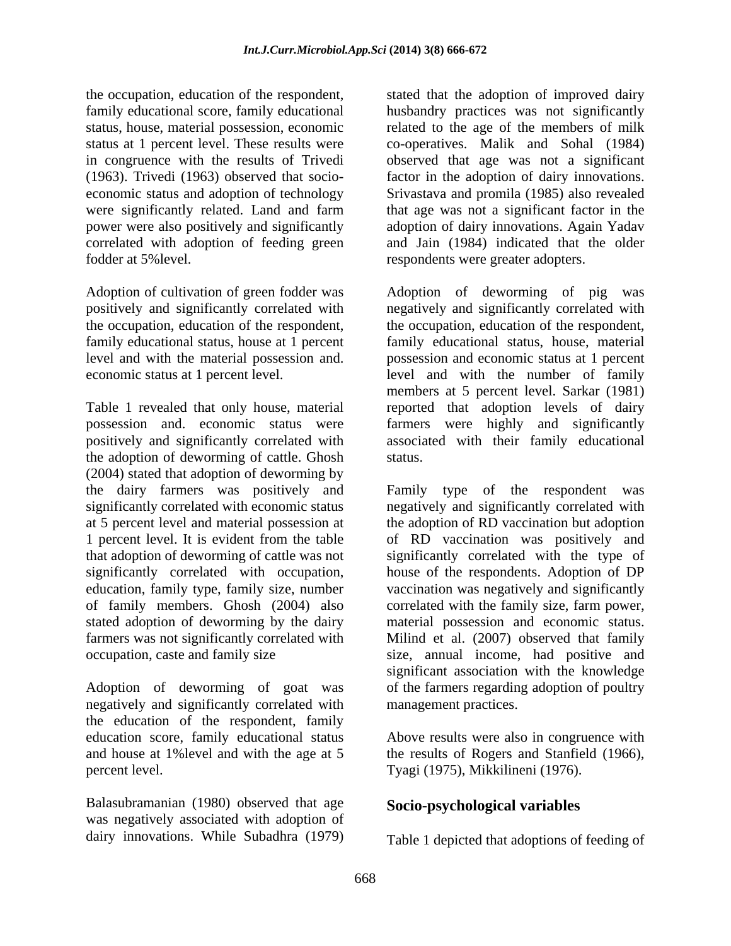the occupation, education of the respondent, stated that the adoption of improved dairy family educational score, family educational husbandry practices was not significantly status, house, material possession, economic related to the age of the members of milk status at 1 percent level. These results were co-operatives. Malik and Sohal (1984) in congruence with the results of Trivedi observed that age was not a significant (1963). Trivedi (1963) observed that socio- factor in the adoption of dairy innovations. economic status and adoption of technology Srivastava and promila (1985) also revealed were significantly related. Land and farm that age was not a significant factor in the power were also positively and significantly adoption of dairy innovations. Again Yadav correlated with adoption of feeding green and Jain (1984) indicated that the older fodder at 5%level. respondents were greater adopters.

Adoption of cultivation of green fodder was

Table 1 revealed that only house, material reported that adoption levels of dairy possession and. economic status were farmers were highly and significantly positively and significantly correlated with associated with their family educational the adoption of deworming of cattle. Ghosh (2004) stated that adoption of deworming by the dairy farmers was positively and Family type of the respondent was stated adoption of deworming by the dairy

Adoption of deworming of goat was negatively and significantly correlated with the education of the respondent, family education score, family educational status Above results were also in congruence with and house at 1% level and with the age at 5 the results of Rogers and Stanfield (1966), percent level. Tyagi (1975), Mikkilineni (1976).

Balasubramanian (1980) observed that age was negatively associated with adoption of dairy innovations. While Subadhra (1979)

positively and significantly correlated with negatively and significantly correlated with the occupation, education of the respondent, the occupation, education of the respondent, family educational status, house at 1 percent family educational status, house, material level and with the material possession and. possession and economic status at 1 percent economic status at 1 percent level. level and with the number of family Adoption of deworming of pig was members at 5 percent level. Sarkar (1981) status.

significantly correlated with economic status negatively and significantly correlated with at 5 percent level and material possession at the adoption of RD vaccination but adoption 1 percent level. It is evident from the table of RD vaccination was positively and that adoption of deworming of cattle was not significantly correlated with the type of significantly correlated with occupation, house of the respondents. Adoption of DP education, family type, family size, number vaccination was negatively and significantly of family members. Ghosh (2004) also correlated with the family size, farm power, farmers was not significantly correlated with Milind et al. (2007) observed that family occupation, caste and family size size, annual income, had positive and Family type of the respondent material possession and economic status. significant association with the knowledge of the farmers regarding adoption of poultry management practices.

# **Socio-psychological variables**

Table 1 depicted that adoptions of feeding of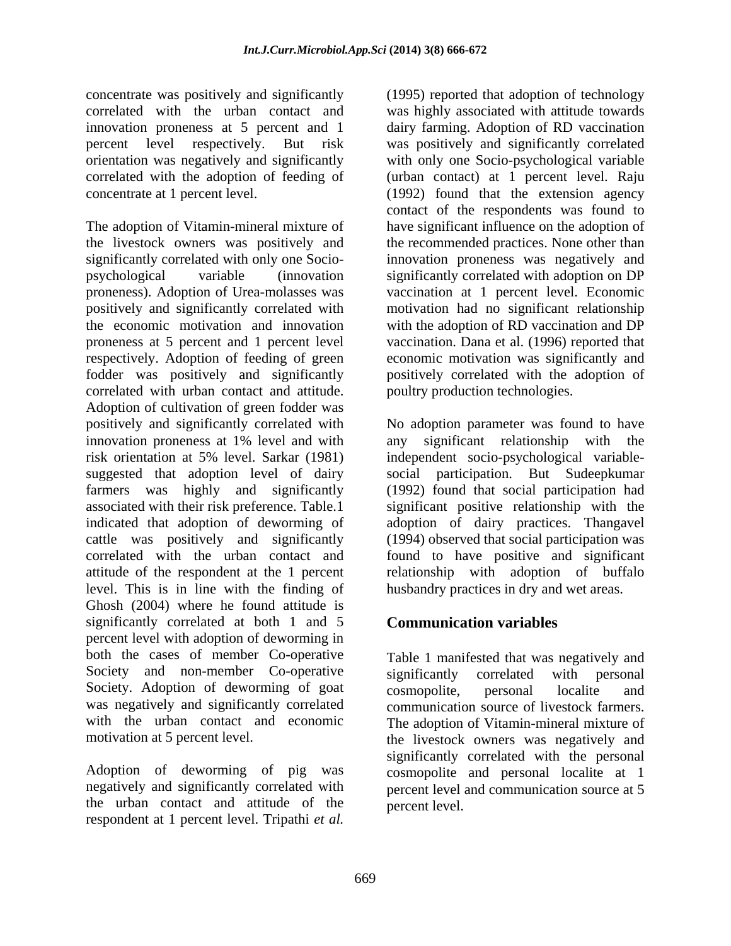concentrate was positively and significantly innovation proneness at 5 percent and 1

The adoption of Vitamin-mineral mixture of have significant influence on the adoption of the livestock owners was positively and the recommended practices. None other than significantly correlated with only one Socio- innovation proneness was negatively and psychological variable (innovation significantly correlated with adoption on DP proneness). Adoption of Urea-molasses was vaccination at 1 percent level. Economic positively and significantly correlated with motivation had no significant relationship the economic motivation and innovation with the adoption of RD vaccination and DP proneness at 5 percent and 1 percent level vaccination. Dana et al. (1996) reported that respectively. Adoption of feeding of green economic motivation was significantly and fodder was positively and significantly positively correlated with the adoption of correlated with urban contact and attitude. Adoption of cultivation of green fodder was positively and significantly correlated with No adoption parameter was found to have innovation proneness at 1% level and with any significant relationship with the risk orientation at 5% level. Sarkar (1981) independent socio-psychological variable suggested that adoption level of dairy social participation. But Sudeepkumar farmers was highly and significantly (1992) found that social participation had associated with their risk preference. Table.1 significant positive relationship with the indicated that adoption of deworming of adoption of dairy practices. Thangavel cattle was positively and significantly (1994) observed that social participation was correlated with the urban contact and found to have positive and significant attitude of the respondent at the 1 percent relationship with adoption of buffalo level. This is in line with the finding of Ghosh (2004) where he found attitude is significantly correlated at both 1 and 5 percent level with adoption of deworming in both the cases of member Co-operative Society and non-member Co-operative significantly correlated with personal Society. Adoption of deworming of goat cosmopolite. personal localite and was negatively and significantly correlated with the urban contact and economic The adoption of Vitamin-mineral mixture of

the urban contact and attitude of the respondent at 1 percent level. Tripathi *et al.*

correlated with the urban contact and was highly associated with attitude towards percent level respectively. But risk was positively and significantly correlated orientation was negatively and significantly with only one Socio-psychological variable correlated with the adoption of feeding of (urban contact) at 1 percent level. Raju concentrate at 1 percent level. (1992) found that the extension agency (1995) reported that adoption of technology dairy farming. Adoption of RD vaccination contact of the respondents was found to poultry production technologies.

husbandry practices in dry and wet areas.

# **Communication variables**

motivation at 5 percent level. the livestock owners was negatively and Adoption of deworming of pig was cosmopolite and personal localite at 1 negatively and significantly correlated with percent level and communication source at 5 Table 1 manifested that was negatively and significantly correlated with personal cosmopolite, personal localite and communication source of livestock farmers. significantly correlated with the personal percent level.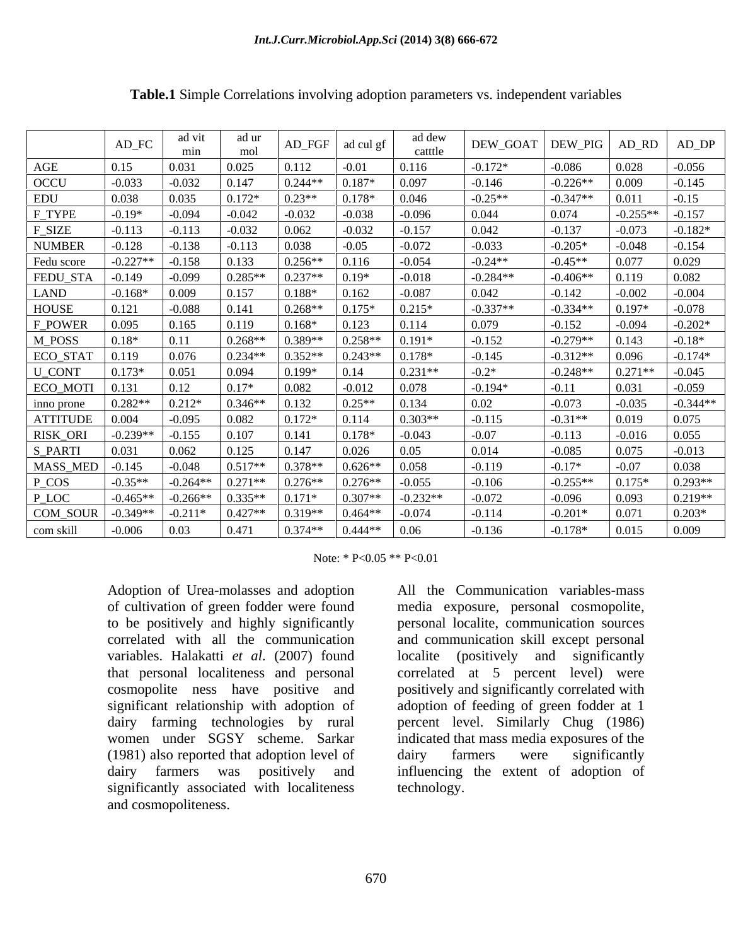|                                                                                         | $\mbox{AD\_FC}$ | ad vit<br>mın     | ad ur<br>mol                                                    |                     | $AD_FGF$ ad cul gf        | ad dew<br>catttle |            | DEW_GOAT   DEW_PIG   AD_RD   AD_DP |           |                   |
|-----------------------------------------------------------------------------------------|-----------------|-------------------|-----------------------------------------------------------------|---------------------|---------------------------|-------------------|------------|------------------------------------|-----------|-------------------|
| AGE                                                                                     | 0.15            | 0.031             | 0.025                                                           |                     | $-0.01$                   | 0.116             | $-0.172*$  | $-0.086$                           | 0.028     | $-0.056$          |
| OCCU                                                                                    | $-0.033$        | $-0.032$          | 0.147                                                           | $0.244**$           | $0.187*$                  | 0.097             | $-0.146$   | $-0.226**$                         | 0.009     | $-0.145$          |
| EDU                                                                                     | 0.038           | 0.035             |                                                                 | $0.23**$            | $0.178*$                  | 0.046             | $-0.25**$  | $-0.347**$                         | 0.011     | $-0.15$           |
| F_TYPE                                                                                  | $-0.19*$        | -0.094            | $-0.042$                                                        | $-0.032$            | $-0.038$                  | $-0.096$          | 0.044      | 0.074                              |           | $-0.255**$ -0.157 |
| F_SIZE                                                                                  | $-0.113$        | $-0.113$          | $-0.032$                                                        | 0.062               | $-0.032$                  | $-0.157$          | 0.042      | $-0.137$                           | $-0.073$  | $-0.182*$         |
| <b>NUMBER</b>                                                                           | $-0.128$        | $-0.138$ $-0.113$ |                                                                 | $\vert$ 0.038       | $-0.05$                   | $-0.072$          | $-0.033$   | $-0.205*$                          | $-0.048$  | $-0.154$          |
| Fedu score                                                                              | $-0.227**$      | $-0.158$          | 0.133                                                           | $0.256**$           | 0.116                     | $-0.054$          | $-0.24**$  | $-0.45**$                          | 0.077     | 0.029             |
| FEDU_STA                                                                                | -0.149          | $-0.099$          | $0.285**$                                                       | $0.237**$           | $0.19*$                   | $-0.018$          | $-0.284**$ | $-0.406**$                         | 0.119     | 0.082             |
| <b>LAND</b>                                                                             | $-0.168*$       | 0.009             | 0.157                                                           | $0.188*$            | 0.162                     | $-0.087$          | 0.042      | $-0.142$                           | $-0.002$  | $-0.004$          |
| HOUSE                                                                                   | ).121           | $-0.088$          | 0.141                                                           | $0.268**$           | $0.175*$                  | $0.215*$          | $-0.337**$ | $-0.334**$                         | $0.197*$  | $-0.078$          |
| F_POWER                                                                                 | .095            |                   | 0.119                                                           | $0.168*$            | 0.123                     | 0.114             | 0.079      | $-0.152$                           | $-0.094$  | $-0.202*$         |
| M_POSS                                                                                  | $.18*$          |                   | $0.268**$                                                       | $0.389**$           | $0.258**$                 | $0.191*$          | $-0.152$   | $-0.279**$                         | 0.143     | $-0.18*$          |
| ECO_STAT                                                                                | 0.119           | 0.076             | $0.234**$ 0.352**                                               |                     | $0.243**$                 | $0.178*$          | $-0.145$   | $-0.312**$                         | 0.096     | $-0.174*$         |
| U_CONT                                                                                  | $0.173*$        | 0.051             | 0.094                                                           | $0.199*$            | 0.14                      | $0.231**$         | $-0.2*$    | $-0.248**$                         | $0.271**$ | $-0.045$          |
| ECO_MOTI                                                                                | 0.131           | 0.12              | $0.17*$                                                         | $\big  0.082$       | $-0.012$                  | 0.078             | $-0.194*$  | $-0.11$                            | 0.031     | $-0.059$          |
| inno prone                                                                              | $0.282**$       | $0.212*$          | $0.346**$                                                       | $\vert 0.132 \vert$ | $0.25**$                  | 0.134             | 0.02       | $-0.073$                           | $-0.035$  | $-0.344**$        |
| ATTITUDE                                                                                | 0.004           | $-0.095$          | 0.082                                                           | $0.172*$            | 0.114                     | $0.303**$         | $-0.115$   | $-0.31**$                          | 0.019     | 0.075             |
| RISK_ORI                                                                                | $-0.239**$      | $-0.155$ 0.107    |                                                                 | 0.141               | $0.178*$                  | $-0.043$          | $-0.07$    | $-0.113$                           | $-0.016$  | 0.055             |
| S_PARTI                                                                                 |                 | 0.062             | 0.125                                                           | 0.147               | 0.026                     | 0.05              | 0.014      | $-0.085$                           |           | $-0.013$          |
| MASS_MED                                                                                | $-0.145$        | -0.048            | $0.517**$ 0.378**                                               |                     | $\mid 0.626** \mid 0.058$ |                   | $-0.119$   | $-0.17*$                           | $-0.07$   | 0.038             |
| $P_{COS}$                                                                               | $-0.35**$       |                   | $-0.264**$ 0.271** 0.276**                                      |                     | $0.276**$                 | $-0.055$          | $-0.106$   | $-0.255**$                         | $0.175*$  | $0.293**$         |
| $P\_LOC$                                                                                | $-0.465**$      |                   | $-0.266**$ 0.335 <sup>**</sup> 0.171 <sup>*</sup>               |                     | $0.307**$                 | $-0.232**$        | $-0.072$   | $-0.096$                           | 0.093     | $0.219**$         |
| COM_SOUR                                                                                | $-0.349**$      |                   | $\vert$ -0.211* $\vert$ 0.427** $\vert$ 0.319** $\vert$ 0.464** |                     |                           | $-0.074$          | $-0.114$   | $-0.201*$                          | 0.071     | $0.203*$          |
| com skill $\Big  0.006 \Big  0.03 \Big  0.471 \Big  0.374*** \Big  0.444*** \Big  0.06$ |                 |                   |                                                                 |                     |                           |                   | $-0.136$   | $-0.178*$                          | 0.015     | 0.009             |

**Table.1** Simple Correlations involving adoption parameters vs. independent variables

Note: \* P<0.05 \*\* P<0.01

Adoption of Urea-molasses and adoption to be positively and highly significantly variables. Halakatti *et al*. (2007) found (1981) also reported that adoption level of dairy farmers were significantly significantly associated with localiteness and cosmopoliteness.

of cultivation of green fodder were found media exposure, personal cosmopolite, correlated with all the communication and communication skill except personal that personal localiteness and personal correlated at 5 percent level) were cosmopolite ness have positive and positively and significantly correlated with significant relationship with adoption of adoption of feeding of green fodder at 1 dairy farming technologies by rural percent level. Similarly Chug (1986) women under SGSY scheme. Sarkar indicated that mass media exposures of the dairy farmers was positively and influencing the extent of adoption of All the Communication variables-mass personal localite, communication sources localite (positively and significantly dairy farmers were significantly technology.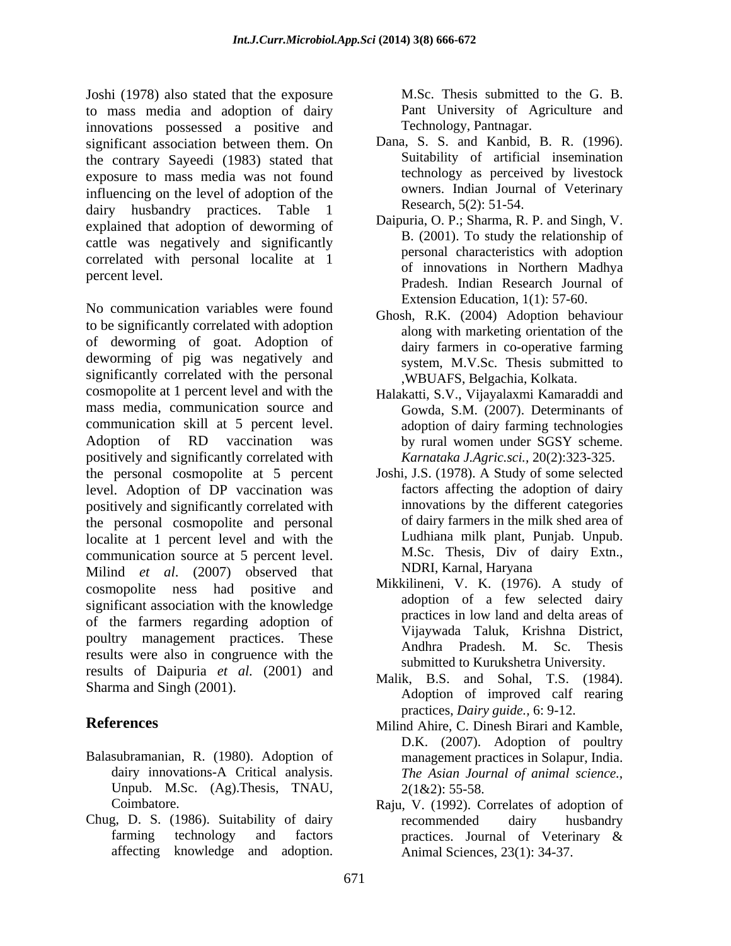Joshi (1978) also stated that the exposure M.Sc. Thesis submitted to the G. B. to mass media and adoption of dairy innovations possessed a positive and significant association between them. On the contrary Sayeedi (1983) stated that exposure to mass media was not found influencing on the level of adoption of the dairy husbandry practices. Table 1 explained that adoption of deworming of cattle was negatively and significantly correlated with personal localite at 1

No communication variables were found to be significantly correlated with adoption of deworming of goat. Adoption of deworming of pig was negatively and significantly correlated with the personal cosmopolite at 1 percent level and with the mass media, communication source and communication skill at 5 percent level. Adoption of RD vaccination was by rural women under SGSY scheme. positively and significantly correlated with the personal cosmopolite at 5 percent Joshi, J.S. (1978). A Study of some selected level. Adoption of DP vaccination was positively and significantly correlated with the personal cosmopolite and personal localite at 1 percent level and with the communication source at 5 percent level. M.Sc. Thesis, Div of<br>Milind *et al.* (2007) observed that MDRI, Karnal, Haryana Milind *et al*. (2007) observed that cosmopolite ness had positive and MIKKIIneni, V. K. (1970). A study of a cosmopolite ness had positive and adoption of a few selected dairy significant association with the knowledge of the farmers regarding adoption of poultry management practices. These vijaywada raiuk, Krisinia District, poultry management practices. These results were also in congruence with the results of Daipuria *et al.* (2001) and Sharma and Singh (2001). it (1878) at stand that the sypesman M.S. Thesis submitted to the G. B. The sympatom and adoption and adoption of the G. Coronactic and possible and possible and possible and possible and adoption of the G. Coronactic and

- Balasubramanian, R. (1980). Adoption of Unpub. M.Sc. (Ag).Thesis, TNAU,
- Chug, D. S. (1986). Suitability of dairy

Technology, Pantnagar.

- Dana, S. S. and Kanbid, B. R. (1996). Suitability of artificial insemination technology as perceived by livestock owners. Indian Journal of Veterinary Research, 5(2): 51-54.
- percent level.<br>
Pradesh. Indian Research Journal of Daipuria, O. P.; Sharma, R. P. and Singh, V. B. (2001). To study the relationship of personal characteristics with adoption of innovations in Northern Madhya Extension Education, 1(1): 57-60.
	- Ghosh, R.K. (2004) Adoption behaviour along with marketing orientation of the dairy farmers in co-operative farming system, M.V.Sc. Thesis submitted to ,WBUAFS, Belgachia, Kolkata.
	- Halakatti, S.V., Vijayalaxmi Kamaraddi and Gowda, S.M. (2007). Determinants of adoption of dairy farming technologies by rural women under SGSY scheme. *Karnataka J.Agric.sci.,* 20(2):323-325.
	- factors affecting the adoption of dairy innovations by the different categories of dairy farmers in the milk shed area of Ludhiana milk plant, Punjab. Unpub. M.Sc. Thesis, Div of dairy Extn., NDRI, Karnal, Haryana
	- Mikkilineni, V. K. (1976). A study of adoption of a few selected dairy practices in low land and delta areas of Vijaywada Taluk, Krishna District, Andhra Pradesh. M. Sc. Thesis submitted to Kurukshetra University.
	- Malik, B.S. and Sohal, T.S. (1984). Adoption of improved calf rearing practices, *Dairy guide.,* 6: 9-12.
- **References** Milind Ahire, C. Dinesh Birari and Kamble, dairy innovations-A Critical analysis. *The Asian Journal of animal science.,* D.K. (2007). Adoption of poultry management practices in Solapur, India.  $2(1&2): 55-58.$ 
	- Coimbatore. Raju, V. (1992). Correlates of adoption of farming technology and factors practices. Journal of Veterinary & recommended dairy husbandry practices. Journal of Veterinary & Animal Sciences, 23(1): 34-37.